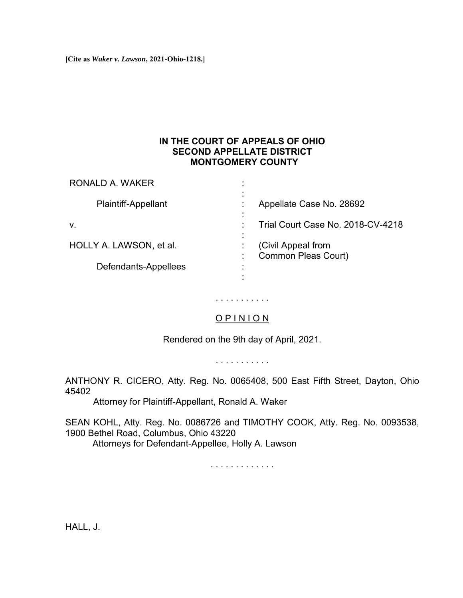**[Cite as** *Waker v. Lawson***, 2021-Ohio-1218.]**

## **IN THE COURT OF APPEALS OF OHIO SECOND APPELLATE DISTRICT MONTGOMERY COUNTY**

| RONALD A. WAKER            |                                                  |
|----------------------------|--------------------------------------------------|
| <b>Plaintiff-Appellant</b> | Appellate Case No. 28692                         |
| V.                         | Trial Court Case No. 2018-CV-4218                |
| HOLLY A. LAWSON, et al.    | (Civil Appeal from<br><b>Common Pleas Court)</b> |
| Defendants-Appellees       |                                                  |

## O P I N I O N

. . . . . . . . . . .

Rendered on the 9th day of April, 2021.

. . . . . . . . . . .

ANTHONY R. CICERO, Atty. Reg. No. 0065408, 500 East Fifth Street, Dayton, Ohio 45402

Attorney for Plaintiff-Appellant, Ronald A. Waker

SEAN KOHL, Atty. Reg. No. 0086726 and TIMOTHY COOK, Atty. Reg. No. 0093538, 1900 Bethel Road, Columbus, Ohio 43220 Attorneys for Defendant-Appellee, Holly A. Lawson

. . . . . . . . . . . . .

HALL, J.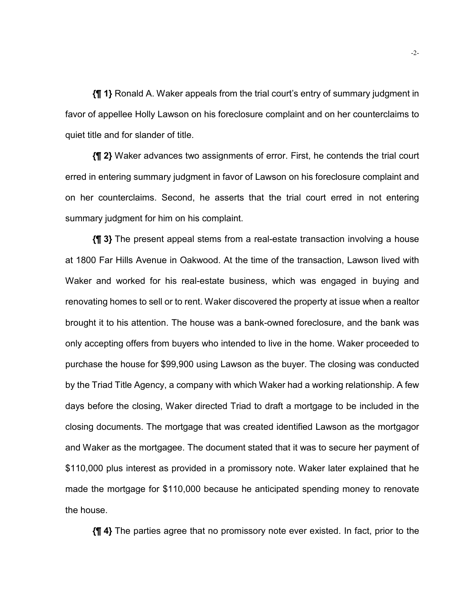**{¶ 1}** Ronald A. Waker appeals from the trial court's entry of summary judgment in favor of appellee Holly Lawson on his foreclosure complaint and on her counterclaims to quiet title and for slander of title.

**{¶ 2}** Waker advances two assignments of error. First, he contends the trial court erred in entering summary judgment in favor of Lawson on his foreclosure complaint and on her counterclaims. Second, he asserts that the trial court erred in not entering summary judgment for him on his complaint.

**{¶ 3}** The present appeal stems from a real-estate transaction involving a house at 1800 Far Hills Avenue in Oakwood. At the time of the transaction, Lawson lived with Waker and worked for his real-estate business, which was engaged in buying and renovating homes to sell or to rent. Waker discovered the property at issue when a realtor brought it to his attention. The house was a bank-owned foreclosure, and the bank was only accepting offers from buyers who intended to live in the home. Waker proceeded to purchase the house for \$99,900 using Lawson as the buyer. The closing was conducted by the Triad Title Agency, a company with which Waker had a working relationship. A few days before the closing, Waker directed Triad to draft a mortgage to be included in the closing documents. The mortgage that was created identified Lawson as the mortgagor and Waker as the mortgagee. The document stated that it was to secure her payment of \$110,000 plus interest as provided in a promissory note. Waker later explained that he made the mortgage for \$110,000 because he anticipated spending money to renovate the house.

**{¶ 4}** The parties agree that no promissory note ever existed. In fact, prior to the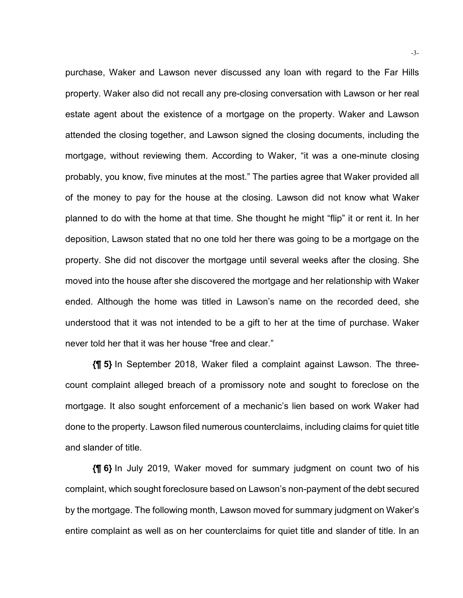purchase, Waker and Lawson never discussed any loan with regard to the Far Hills property. Waker also did not recall any pre-closing conversation with Lawson or her real estate agent about the existence of a mortgage on the property. Waker and Lawson attended the closing together, and Lawson signed the closing documents, including the mortgage, without reviewing them. According to Waker, "it was a one-minute closing probably, you know, five minutes at the most." The parties agree that Waker provided all of the money to pay for the house at the closing. Lawson did not know what Waker planned to do with the home at that time. She thought he might "flip" it or rent it. In her deposition, Lawson stated that no one told her there was going to be a mortgage on the property. She did not discover the mortgage until several weeks after the closing. She moved into the house after she discovered the mortgage and her relationship with Waker ended. Although the home was titled in Lawson's name on the recorded deed, she understood that it was not intended to be a gift to her at the time of purchase. Waker never told her that it was her house "free and clear."

**{¶ 5}** In September 2018, Waker filed a complaint against Lawson. The threecount complaint alleged breach of a promissory note and sought to foreclose on the mortgage. It also sought enforcement of a mechanic's lien based on work Waker had done to the property. Lawson filed numerous counterclaims, including claims for quiet title and slander of title.

**{¶ 6}** In July 2019, Waker moved for summary judgment on count two of his complaint, which sought foreclosure based on Lawson's non-payment of the debt secured by the mortgage. The following month, Lawson moved for summary judgment on Waker's entire complaint as well as on her counterclaims for quiet title and slander of title. In an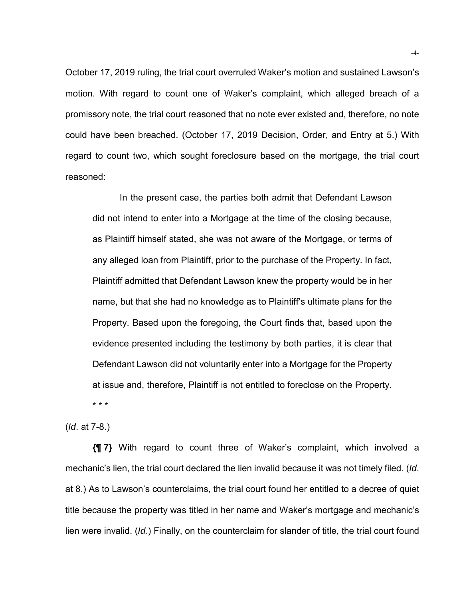October 17, 2019 ruling, the trial court overruled Waker's motion and sustained Lawson's motion. With regard to count one of Waker's complaint, which alleged breach of a promissory note, the trial court reasoned that no note ever existed and, therefore, no note could have been breached. (October 17, 2019 Decision, Order, and Entry at 5.) With regard to count two, which sought foreclosure based on the mortgage, the trial court reasoned:

In the present case, the parties both admit that Defendant Lawson did not intend to enter into a Mortgage at the time of the closing because, as Plaintiff himself stated, she was not aware of the Mortgage, or terms of any alleged loan from Plaintiff, prior to the purchase of the Property. In fact, Plaintiff admitted that Defendant Lawson knew the property would be in her name, but that she had no knowledge as to Plaintiff's ultimate plans for the Property. Based upon the foregoing, the Court finds that, based upon the evidence presented including the testimony by both parties, it is clear that Defendant Lawson did not voluntarily enter into a Mortgage for the Property at issue and, therefore, Plaintiff is not entitled to foreclose on the Property.

\* \* \*

(*Id*. at 7-8.)

**{¶ 7}** With regard to count three of Waker's complaint, which involved a mechanic's lien, the trial court declared the lien invalid because it was not timely filed. (*Id*. at 8.) As to Lawson's counterclaims, the trial court found her entitled to a decree of quiet title because the property was titled in her name and Waker's mortgage and mechanic's lien were invalid. (*Id*.) Finally, on the counterclaim for slander of title, the trial court found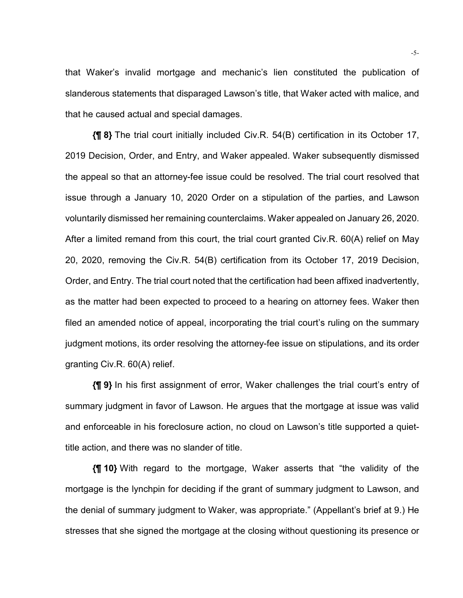that Waker's invalid mortgage and mechanic's lien constituted the publication of slanderous statements that disparaged Lawson's title, that Waker acted with malice, and that he caused actual and special damages.

**{¶ 8}** The trial court initially included Civ.R. 54(B) certification in its October 17, 2019 Decision, Order, and Entry, and Waker appealed. Waker subsequently dismissed the appeal so that an attorney-fee issue could be resolved. The trial court resolved that issue through a January 10, 2020 Order on a stipulation of the parties, and Lawson voluntarily dismissed her remaining counterclaims. Waker appealed on January 26, 2020. After a limited remand from this court, the trial court granted Civ.R. 60(A) relief on May 20, 2020, removing the Civ.R. 54(B) certification from its October 17, 2019 Decision, Order, and Entry. The trial court noted that the certification had been affixed inadvertently, as the matter had been expected to proceed to a hearing on attorney fees. Waker then filed an amended notice of appeal, incorporating the trial court's ruling on the summary judgment motions, its order resolving the attorney-fee issue on stipulations, and its order granting Civ.R. 60(A) relief.

**{¶ 9}** In his first assignment of error, Waker challenges the trial court's entry of summary judgment in favor of Lawson. He argues that the mortgage at issue was valid and enforceable in his foreclosure action, no cloud on Lawson's title supported a quiettitle action, and there was no slander of title.

**{¶ 10}** With regard to the mortgage, Waker asserts that "the validity of the mortgage is the lynchpin for deciding if the grant of summary judgment to Lawson, and the denial of summary judgment to Waker, was appropriate." (Appellant's brief at 9.) He stresses that she signed the mortgage at the closing without questioning its presence or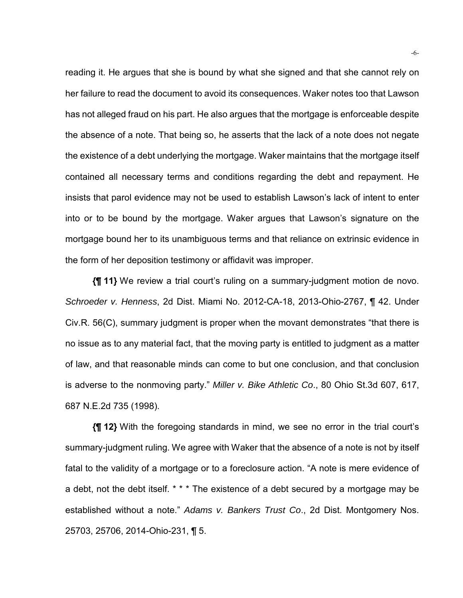reading it. He argues that she is bound by what she signed and that she cannot rely on her failure to read the document to avoid its consequences. Waker notes too that Lawson has not alleged fraud on his part. He also argues that the mortgage is enforceable despite the absence of a note. That being so, he asserts that the lack of a note does not negate the existence of a debt underlying the mortgage. Waker maintains that the mortgage itself contained all necessary terms and conditions regarding the debt and repayment. He insists that parol evidence may not be used to establish Lawson's lack of intent to enter into or to be bound by the mortgage. Waker argues that Lawson's signature on the mortgage bound her to its unambiguous terms and that reliance on extrinsic evidence in the form of her deposition testimony or affidavit was improper.

**{¶ 11}** We review a trial court's ruling on a summary-judgment motion de novo. *Schroeder v. Henness*, 2d Dist. Miami No. 2012-CA-18, 2013-Ohio-2767, ¶ 42. Under Civ.R. 56(C), summary judgment is proper when the movant demonstrates "that there is no issue as to any material fact, that the moving party is entitled to judgment as a matter of law, and that reasonable minds can come to but one conclusion, and that conclusion is adverse to the nonmoving party." *Miller v. Bike Athletic Co*., 80 Ohio St.3d 607, 617, 687 N.E.2d 735 (1998).

**{¶ 12}** With the foregoing standards in mind, we see no error in the trial court's summary-judgment ruling. We agree with Waker that the absence of a note is not by itself fatal to the validity of a mortgage or to a foreclosure action. "A note is mere evidence of a debt, not the debt itself. \* \* \* The existence of a debt secured by a mortgage may be established without a note." *Adams v. Bankers Trust Co*., 2d Dist. Montgomery Nos. 25703, 25706, 2014-Ohio-231, ¶ 5.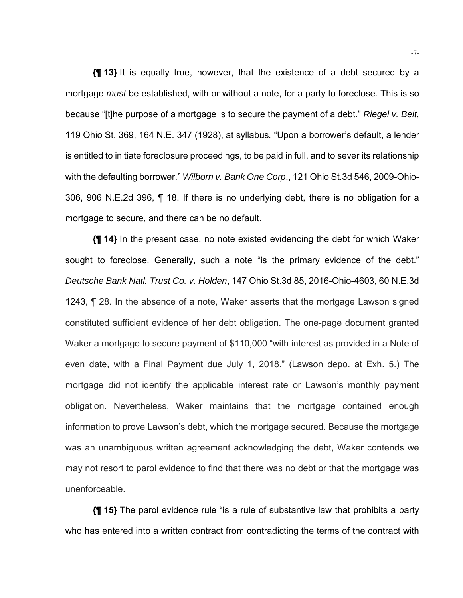**{¶ 13}** It is equally true, however, that the existence of a debt secured by a mortgage *must* be established, with or without a note, for a party to foreclose. This is so because "[t]he purpose of a mortgage is to secure the payment of a debt." *Riegel v. Belt*, 119 Ohio St. 369, 164 N.E. 347 (1928), at syllabus*.* "Upon a borrower's default, a lender is entitled to initiate foreclosure proceedings, to be paid in full, and to sever its relationship with the defaulting borrower." *Wilborn v. Bank One Corp*., 121 Ohio St.3d 546, 2009-Ohio-306, 906 N.E.2d 396, ¶ 18. If there is no underlying debt, there is no obligation for a mortgage to secure, and there can be no default.

**{¶ 14}** In the present case, no note existed evidencing the debt for which Waker sought to foreclose. Generally, such a note "is the primary evidence of the debt." *Deutsche Bank Natl. Trust Co. v. Holden*, 147 Ohio St.3d 85, 2016-Ohio-4603, 60 N.E.3d 1243, ¶ 28. In the absence of a note, Waker asserts that the mortgage Lawson signed constituted sufficient evidence of her debt obligation. The one-page document granted Waker a mortgage to secure payment of \$110,000 "with interest as provided in a Note of even date, with a Final Payment due July 1, 2018." (Lawson depo. at Exh. 5.) The mortgage did not identify the applicable interest rate or Lawson's monthly payment obligation. Nevertheless, Waker maintains that the mortgage contained enough information to prove Lawson's debt, which the mortgage secured. Because the mortgage was an unambiguous written agreement acknowledging the debt, Waker contends we may not resort to parol evidence to find that there was no debt or that the mortgage was unenforceable.

**{¶ 15}** The parol evidence rule "is a rule of substantive law that prohibits a party who has entered into a written contract from contradicting the terms of the contract with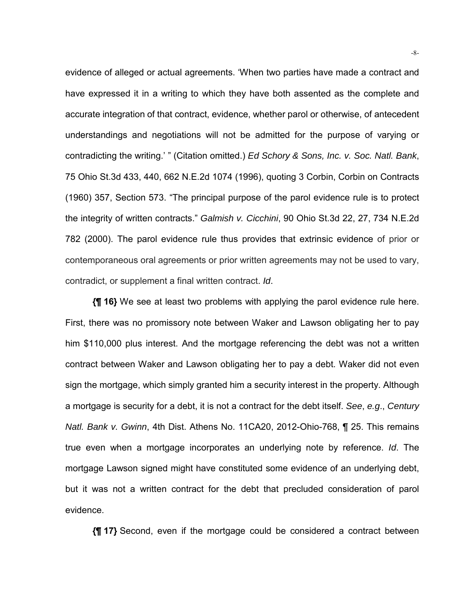evidence of alleged or actual agreements. 'When two parties have made a contract and have expressed it in a writing to which they have both assented as the complete and accurate integration of that contract, evidence, whether parol or otherwise, of antecedent understandings and negotiations will not be admitted for the purpose of varying or contradicting the writing.' " (Citation omitted.) *Ed Schory & Sons, Inc. v. Soc. Natl. Bank*, 75 Ohio St.3d 433, 440, 662 N.E.2d 1074 (1996), quoting 3 Corbin, Corbin on Contracts (1960) 357, Section 573. "The principal purpose of the parol evidence rule is to protect the integrity of written contracts." *Galmish v. Cicchini*, 90 Ohio St.3d 22, 27, 734 N.E.2d 782 (2000). The parol evidence rule thus provides that extrinsic evidence of prior or contemporaneous oral agreements or prior written agreements may not be used to vary, contradict, or supplement a final written contract. *Id*.

**{¶ 16}** We see at least two problems with applying the parol evidence rule here. First, there was no promissory note between Waker and Lawson obligating her to pay him \$110,000 plus interest. And the mortgage referencing the debt was not a written contract between Waker and Lawson obligating her to pay a debt. Waker did not even sign the mortgage, which simply granted him a security interest in the property. Although a mortgage is security for a debt, it is not a contract for the debt itself. *See*, *e.g*., *Century Natl. Bank v. Gwinn*, 4th Dist. Athens No. 11CA20, 2012-Ohio-768, ¶ 25. This remains true even when a mortgage incorporates an underlying note by reference. *Id*. The mortgage Lawson signed might have constituted some evidence of an underlying debt, but it was not a written contract for the debt that precluded consideration of parol evidence.

**{¶ 17}** Second, even if the mortgage could be considered a contract between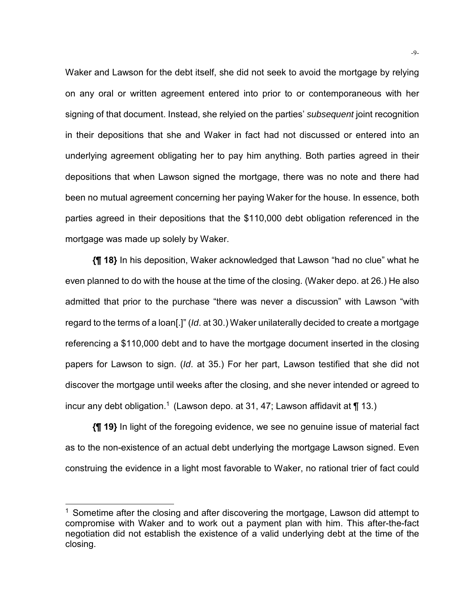Waker and Lawson for the debt itself, she did not seek to avoid the mortgage by relying on any oral or written agreement entered into prior to or contemporaneous with her signing of that document. Instead, she relyied on the parties' *subsequent* joint recognition in their depositions that she and Waker in fact had not discussed or entered into an underlying agreement obligating her to pay him anything. Both parties agreed in their depositions that when Lawson signed the mortgage, there was no note and there had been no mutual agreement concerning her paying Waker for the house. In essence, both parties agreed in their depositions that the \$110,000 debt obligation referenced in the mortgage was made up solely by Waker.

**{¶ 18}** In his deposition, Waker acknowledged that Lawson "had no clue" what he even planned to do with the house at the time of the closing. (Waker depo. at 26.) He also admitted that prior to the purchase "there was never a discussion" with Lawson "with regard to the terms of a loan[.]" (*Id*. at 30.) Waker unilaterally decided to create a mortgage referencing a \$110,000 debt and to have the mortgage document inserted in the closing papers for Lawson to sign. (*Id*. at 35.) For her part, Lawson testified that she did not discover the mortgage until weeks after the closing, and she never intended or agreed to incur any debt obligation.<sup>1</sup> (Lawson depo. at 31, 47; Lawson affidavit at  $\P$  13.)

**{¶ 19}** In light of the foregoing evidence, we see no genuine issue of material fact as to the non-existence of an actual debt underlying the mortgage Lawson signed. Even construing the evidence in a light most favorable to Waker, no rational trier of fact could

l

 $1$  Sometime after the closing and after discovering the mortgage, Lawson did attempt to compromise with Waker and to work out a payment plan with him. This after-the-fact negotiation did not establish the existence of a valid underlying debt at the time of the closing.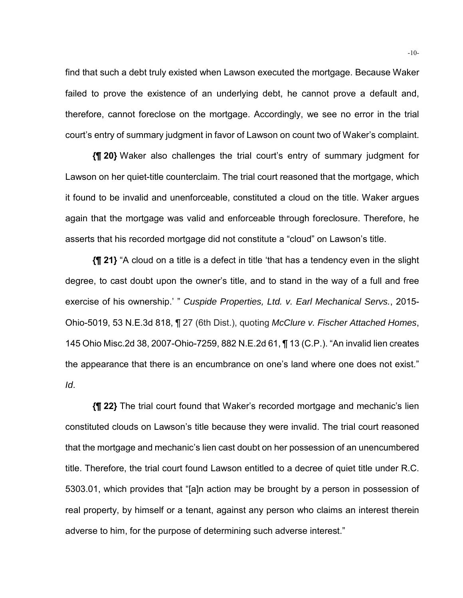find that such a debt truly existed when Lawson executed the mortgage. Because Waker failed to prove the existence of an underlying debt, he cannot prove a default and, therefore, cannot foreclose on the mortgage. Accordingly, we see no error in the trial court's entry of summary judgment in favor of Lawson on count two of Waker's complaint.

**{¶ 20}** Waker also challenges the trial court's entry of summary judgment for Lawson on her quiet-title counterclaim. The trial court reasoned that the mortgage, which it found to be invalid and unenforceable, constituted a cloud on the title. Waker argues again that the mortgage was valid and enforceable through foreclosure. Therefore, he asserts that his recorded mortgage did not constitute a "cloud" on Lawson's title.

**{¶ 21}** "A cloud on a title is a defect in title 'that has a tendency even in the slight degree, to cast doubt upon the owner's title, and to stand in the way of a full and free exercise of his ownership.' " *Cuspide Properties, Ltd. v. Earl Mechanical Servs.*, 2015- Ohio-5019, 53 N.E.3d 818, ¶ 27 (6th Dist.), quoting *McClure v. Fischer Attached Homes*, 145 Ohio Misc.2d 38, 2007-Ohio-7259, 882 N.E.2d 61, ¶ 13 (C.P.). "An invalid lien creates the appearance that there is an encumbrance on one's land where one does not exist." *Id*.

**{¶ 22}** The trial court found that Waker's recorded mortgage and mechanic's lien constituted clouds on Lawson's title because they were invalid. The trial court reasoned that the mortgage and mechanic's lien cast doubt on her possession of an unencumbered title. Therefore, the trial court found Lawson entitled to a decree of quiet title under R.C. 5303.01, which provides that "[a]n action may be brought by a person in possession of real property, by himself or a tenant, against any person who claims an interest therein adverse to him, for the purpose of determining such adverse interest."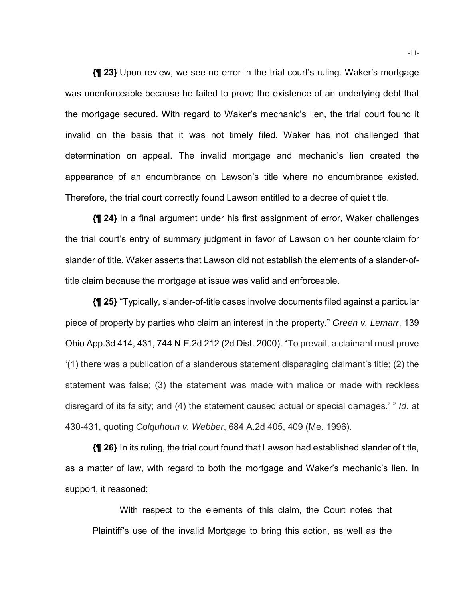**{¶ 23}** Upon review, we see no error in the trial court's ruling. Waker's mortgage was unenforceable because he failed to prove the existence of an underlying debt that the mortgage secured. With regard to Waker's mechanic's lien, the trial court found it invalid on the basis that it was not timely filed. Waker has not challenged that determination on appeal. The invalid mortgage and mechanic's lien created the appearance of an encumbrance on Lawson's title where no encumbrance existed. Therefore, the trial court correctly found Lawson entitled to a decree of quiet title.

**{¶ 24}** In a final argument under his first assignment of error, Waker challenges the trial court's entry of summary judgment in favor of Lawson on her counterclaim for slander of title. Waker asserts that Lawson did not establish the elements of a slander-oftitle claim because the mortgage at issue was valid and enforceable.

**{¶ 25}** "Typically, slander-of-title cases involve documents filed against a particular piece of property by parties who claim an interest in the property." *Green v. Lemarr*, 139 Ohio App.3d 414, 431, 744 N.E.2d 212 (2d Dist. 2000). "To prevail, a claimant must prove '(1) there was a publication of a slanderous statement disparaging claimant's title; (2) the statement was false; (3) the statement was made with malice or made with reckless disregard of its falsity; and (4) the statement caused actual or special damages.' " *Id*. at 430-431, quoting *Colquhoun v. Webber*, 684 A.2d 405, 409 (Me. 1996).

**{¶ 26}** In its ruling, the trial court found that Lawson had established slander of title, as a matter of law, with regard to both the mortgage and Waker's mechanic's lien. In support, it reasoned:

With respect to the elements of this claim, the Court notes that Plaintiff's use of the invalid Mortgage to bring this action, as well as the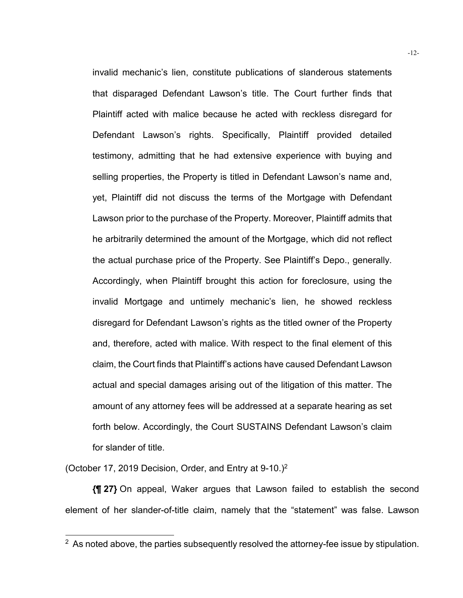invalid mechanic's lien, constitute publications of slanderous statements that disparaged Defendant Lawson's title. The Court further finds that Plaintiff acted with malice because he acted with reckless disregard for Defendant Lawson's rights. Specifically, Plaintiff provided detailed testimony, admitting that he had extensive experience with buying and selling properties, the Property is titled in Defendant Lawson's name and, yet, Plaintiff did not discuss the terms of the Mortgage with Defendant Lawson prior to the purchase of the Property. Moreover, Plaintiff admits that he arbitrarily determined the amount of the Mortgage, which did not reflect the actual purchase price of the Property. See Plaintiff's Depo., generally. Accordingly, when Plaintiff brought this action for foreclosure, using the invalid Mortgage and untimely mechanic's lien, he showed reckless disregard for Defendant Lawson's rights as the titled owner of the Property and, therefore, acted with malice. With respect to the final element of this claim, the Court finds that Plaintiff's actions have caused Defendant Lawson actual and special damages arising out of the litigation of this matter. The amount of any attorney fees will be addressed at a separate hearing as set forth below. Accordingly, the Court SUSTAINS Defendant Lawson's claim for slander of title.

(October 17, 2019 Decision, Order, and Entry at 9-10.)2

l

**{¶ 27}** On appeal, Waker argues that Lawson failed to establish the second element of her slander-of-title claim, namely that the "statement" was false. Lawson

 $2$  As noted above, the parties subsequently resolved the attorney-fee issue by stipulation.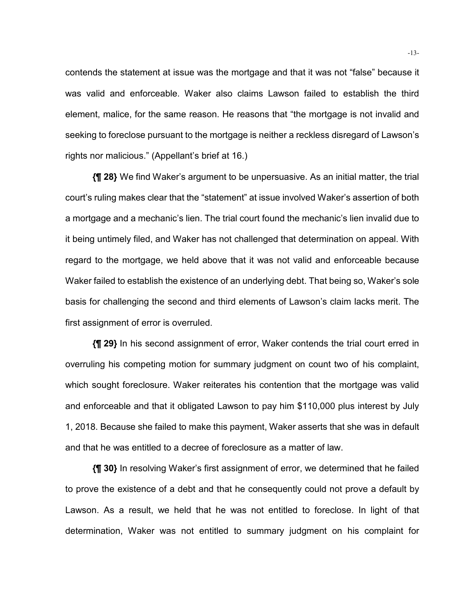contends the statement at issue was the mortgage and that it was not "false" because it was valid and enforceable. Waker also claims Lawson failed to establish the third element, malice, for the same reason. He reasons that "the mortgage is not invalid and seeking to foreclose pursuant to the mortgage is neither a reckless disregard of Lawson's rights nor malicious." (Appellant's brief at 16.)

**{¶ 28}** We find Waker's argument to be unpersuasive. As an initial matter, the trial court's ruling makes clear that the "statement" at issue involved Waker's assertion of both a mortgage and a mechanic's lien. The trial court found the mechanic's lien invalid due to it being untimely filed, and Waker has not challenged that determination on appeal. With regard to the mortgage, we held above that it was not valid and enforceable because Waker failed to establish the existence of an underlying debt. That being so, Waker's sole basis for challenging the second and third elements of Lawson's claim lacks merit. The first assignment of error is overruled.

**{¶ 29}** In his second assignment of error, Waker contends the trial court erred in overruling his competing motion for summary judgment on count two of his complaint, which sought foreclosure. Waker reiterates his contention that the mortgage was valid and enforceable and that it obligated Lawson to pay him \$110,000 plus interest by July 1, 2018. Because she failed to make this payment, Waker asserts that she was in default and that he was entitled to a decree of foreclosure as a matter of law.

**{¶ 30}** In resolving Waker's first assignment of error, we determined that he failed to prove the existence of a debt and that he consequently could not prove a default by Lawson. As a result, we held that he was not entitled to foreclose. In light of that determination, Waker was not entitled to summary judgment on his complaint for